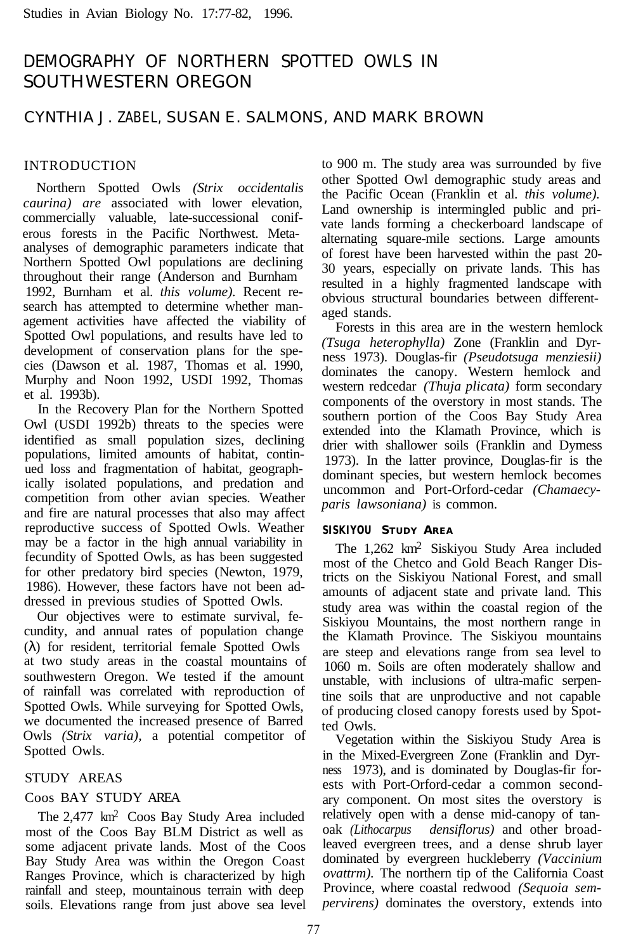# DEMOGRAPHY OF NORTHERN SPOTTED OWLS IN SOUTHWESTERN OREGON

## CYNTHIA J. ZABEL, SUSAN E. SALMONS, AND MARK BROWN

## INTRODUCTION

Northern Spotted Owls *(Strix occidentalis caurina) are* associated with lower elevation, commercially valuable, late-successional coniferous forests in the Pacific Northwest. Metaanalyses of demographic parameters indicate that Northern Spotted Owl populations are declining throughout their range (Anderson and Burnham 1992, Burnham et al. *this volume).* Recent research has attempted to determine whether management activities have affected the viability of Spotted Owl populations, and results have led to development of conservation plans for the species (Dawson et al. 1987, Thomas et al. 1990, Murphy and Noon 1992, USDI 1992, Thomas et al. 1993b).

In the Recovery Plan for the Northern Spotted Owl (USDI 1992b) threats to the species were identified as small population sizes, declining populations, limited amounts of habitat, continued loss and fragmentation of habitat, geographically isolated populations, and predation and competition from other avian species. Weather and fire are natural processes that also may affect reproductive success of Spotted Owls. Weather may be a factor in the high annual variability in fecundity of Spotted Owls, as has been suggested for other predatory bird species (Newton, 1979, 1986). However, these factors have not been addressed in previous studies of Spotted Owls.

Our objectives were to estimate survival, fecundity, and annual rates of population change ( ) for resident, territorial female Spotted Owls at two study areas in the coastal mountains of southwestern Oregon. We tested if the amount of rainfall was correlated with reproduction of Spotted Owls. While surveying for Spotted Owls, we documented the increased presence of Barred Owls *(Strix varia),* a potential competitor of Spotted Owls.

## STUDY AREAS

## Coos BAY STUDY AREA

The 2,477 km<sup>2</sup> Coos Bay Study Area included most of the Coos Bay BLM District as well as some adjacent private lands. Most of the Coos Bay Study Area was within the Oregon Coast Ranges Province, which is characterized by high rainfall and steep, mountainous terrain with deep soils. Elevations range from just above sea level to 900 m. The study area was surrounded by five other Spotted Owl demographic study areas and the Pacific Ocean (Franklin et al. *this volume).* Land ownership is intermingled public and private lands forming a checkerboard landscape of alternating square-mile sections. Large amounts of forest have been harvested within the past 20- 30 years, especially on private lands. This has resulted in a highly fragmented landscape with obvious structural boundaries between differentaged stands.

Forests in this area are in the western hemlock *(Tsuga heterophylla)* Zone (Franklin and Dyrness 1973). Douglas-fir *(Pseudotsuga menziesii)* dominates the canopy. Western hemlock and western redcedar *(Thuja plicata)* form secondary components of the overstory in most stands. The southern portion of the Coos Bay Study Area extended into the Klamath Province, which is drier with shallower soils (Franklin and Dymess 1973). In the latter province, Douglas-fir is the dominant species, but western hemlock becomes uncommon and Port-Orford-cedar *(Chamaecyparis lawsoniana)* is common.

## **SISKIYOU STUDY AREA**

The 1,262 km2 Siskiyou Study Area included most of the Chetco and Gold Beach Ranger Districts on the Siskiyou National Forest, and small amounts of adjacent state and private land. This study area was within the coastal region of the Siskiyou Mountains, the most northern range in the Klamath Province. The Siskiyou mountains are steep and elevations range from sea level to 1060 m. Soils are often moderately shallow and unstable, with inclusions of ultra-mafic serpentine soils that are unproductive and not capable of producing closed canopy forests used by Spotted Owls.

Vegetation within the Siskiyou Study Area is in the Mixed-Evergreen Zone (Franklin and Dyrness 1973), and is dominated by Douglas-fir forests with Port-Orford-cedar a common secondary component. On most sites the overstory is relatively open with a dense mid-canopy of tanoak *(Lithocarpus densiflorus)* and other broadleaved evergreen trees, and a dense shrub layer dominated by evergreen huckleberry *(Vaccinium ovattrm).* The northern tip of the California Coast Province, where coastal redwood *(Sequoia sempervirens)* dominates the overstory, extends into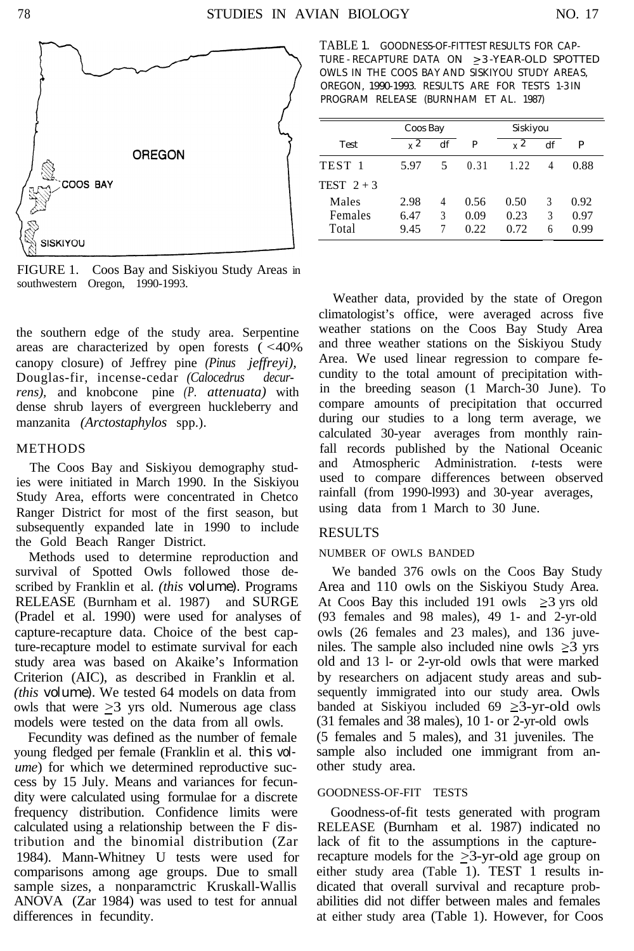

FIGURE 1. Coos Bay and Siskiyou Study Areas in southwestern Oregon, 1990-1993.

the southern edge of the study area. Serpentine areas are characterized by open forests ( <40% canopy closure) of Jeffrey pine *(Pinus jeffreyi),* Douglas-fir, incense-cedar *(Calocedrus decurrens),* and knobcone pine *(P. attenuata)* with dense shrub layers of evergreen huckleberry and manzanita *(Arctostaphylos* spp.).

#### METHODS

The Coos Bay and Siskiyou demography studies were initiated in March 1990. In the Siskiyou Study Area, efforts were concentrated in Chetco Ranger District for most of the first season, but subsequently expanded late in 1990 to include the Gold Beach Ranger District.

Methods used to determine reproduction and survival of Spotted Owls followed those described by Franklin et al. *(this volume).* Programs RELEASE (Burnham et al. 1987) and SURGE (Pradel et al. 1990) were used for analyses of capture-recapture data. Choice of the best capture-recapture model to estimate survival for each study area was based on Akaike's Information Criterion (AIC), as described in Franklin et al. *(this volume).* We tested 64 models on data from owls that were  $\geq$ 3 yrs old. Numerous age class models were tested on the data from all owls.

Fecundity was defined as the number of female young fledged per female (Franklin et al. *this volume*) for which we determined reproductive success by 15 July. Means and variances for fecundity were calculated using formulae for a discrete frequency distribution. Confidence limits were calculated using a relationship between the F distribution and the binomial distribution (Zar 1984). Mann-Whitney U tests were used for comparisons among age groups. Due to small sample sizes, a nonparamctric Kruskall-Wallis ANOVA (Zar 1984) was used to test for annual differences in fecundity.

TABLE 1. GOODNESS-OF-FITTEST RESULTS FOR CAP-TURE - RECAPTURE DATA ON  $\geq$  3 -YEAR-OLD SPOTTED OWLS IN THE COOS BAY AND SISKIYOU STUDY AREAS, OREGON, 1990-1993. RESULTS ARE FOR TESTS 1-3 IN PROGRAM RELEASE (BURNHAM ET AL. 1987)

|                   | Coos Bay |    | Siskiyou |       |    |      |
|-------------------|----------|----|----------|-------|----|------|
| Test              | $x^2$    | df | P        | $x^2$ | df | P    |
| TEST <sub>1</sub> | 5.97     | 5  | 0.31     | 1.22  | 4  | 0.88 |
| TEST $2 + 3$      |          |    |          |       |    |      |
| Males             | 2.98     | 4  | 0.56     | 0.50  | 3  | 0.92 |
| Females           | 6.47     | 3  | 0.09     | 0.23  | 3  | 0.97 |
| Total             | 9.45     |    | 0.22     | 0.72  | 6  | 0.99 |

Weather data, provided by the state of Oregon climatologist's office, were averaged across five weather stations on the Coos Bay Study Area and three weather stations on the Siskiyou Study Area. We used linear regression to compare fecundity to the total amount of precipitation within the breeding season (1 March-30 June). To compare amounts of precipitation that occurred during our studies to a long term average, we calculated 30-year averages from monthly rainfall records published by the National Oceanic and Atmospheric Administration. *t*-tests were used to compare differences between observed rainfall (from 1990-l993) and 30-year averages, using data from 1 March to 30 June.

### RESULTS

### NUMBER OF OWLS BANDED

We banded 376 owls on the Coos Bay Study Area and 110 owls on the Siskiyou Study Area. At Coos Bay this included 191 owls  $\geq 3$  yrs old (93 females and 98 males), 49 1- and 2-yr-old owls (26 females and 23 males), and 136 juveniles. The sample also included nine owls  $\geq 3$  yrs old and 13 l- or 2-yr-old owls that were marked by researchers on adjacent study areas and subsequently immigrated into our study area. Owls banded at Siskiyou included  $69 \ge 3$ -yr-old owls (31 females and 38 males), 10 1- or 2-yr-old owls (5 females and 5 males), and 31 juveniles. The sample also included one immigrant from another study area.

#### GOODNESS-OF-FIT TESTS

Goodness-of-fit tests generated with program RELEASE (Burnham et al. 1987) indicated no lack of fit to the assumptions in the capturerecapture models for the  $\geq$ 3-yr-old age group on either study area (Table 1). TEST 1 results indicated that overall survival and recapture probabilities did not differ between males and females at either study area (Table 1). However, for Coos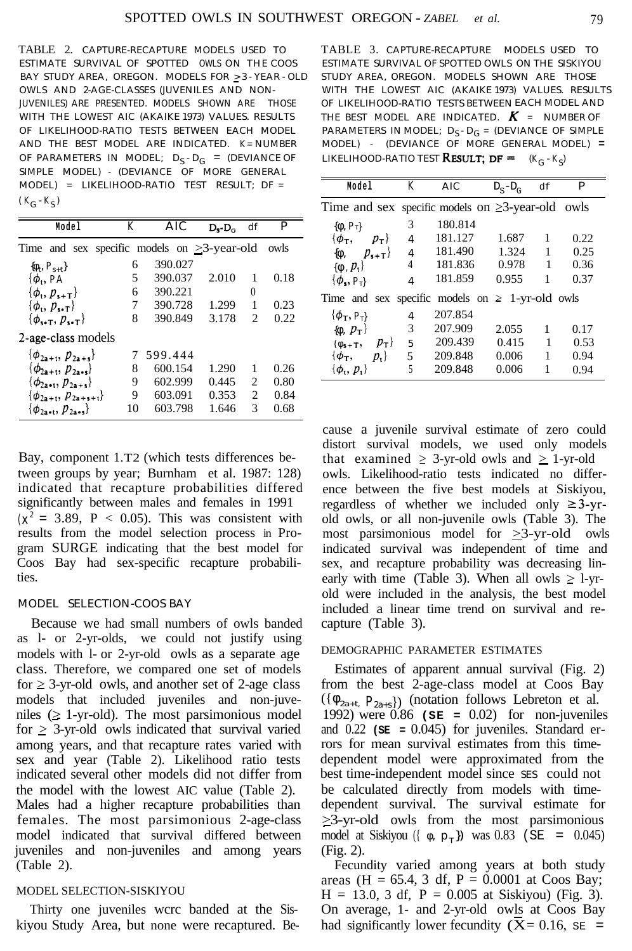TABLE 2. CAPTURE-RECAPTURE MODELS USED TO ESTIMATE SURVIVAL OF SPOTTED OWLS ON THE COOS BAY STUDY AREA, OREGON. MODELS FOR  $\geq 3$  - YEAR - OLD OWLS AND 2-AGE-CLASSES (JUVENILES AND NON-JUVENILES) ARE PRESENTED. MODELS SHOWN ARE THOSE WITH THE LOWEST AIC (AKAIKE 1973) VALUES. RESULTS OF LIKELIHOOD-RATIO TESTS BETWEEN EACH MODEL AND THE BEST MODEL ARE INDICATED. *K*= NUMBER OF PARAMETERS IN MODEL;  $D_S - D_G = (DEVIANCE OF)$ SIMPLE MODEL) - (DEVIANCE OF MORE GENERAL MODEL) = LIKELIHOOD-RATIO TEST RESULT; DF =  $(K_C - K_S)$ 

| Model                                              | K  | AIC     | $D_{\rm r}$ - $D_{\rm cr}$ | df                            | P    |  |
|----------------------------------------------------|----|---------|----------------------------|-------------------------------|------|--|
| Time and sex specific models on $\geq$ 3-year-old  |    |         |                            |                               | owls |  |
| $\{ , P_{s+t} \}$                                  | 6  | 390.027 |                            |                               |      |  |
| $\phi$ ., PA                                       | 5  | 390.037 | 2.010                      | 1                             | 0.18 |  |
| $\{\phi_i, p_{i+\tau}\}\$                          | 6  | 390.221 |                            | 0                             |      |  |
| $\{\phi_{1}, p_{1} \}$                             | 7  | 390.728 | 1.299                      | 1                             | 0.23 |  |
| $\{\phi_{\cdot\cdot\cdot}, p_{\cdot\cdot\cdot}\}\$ | 8  | 390.849 | 3.178                      | 2                             | 0.22 |  |
| 2-age-class models                                 |    |         |                            |                               |      |  |
| $\{\phi_{2a+t}, p_{2a+s}\}$                        |    | 599.444 |                            |                               |      |  |
| $\{\phi_{2a+1}, p_{2a-1}\}$                        | 8  | 600.154 | 1.290                      | 1                             | 0.26 |  |
| $\{\phi_{2a-1}, p_{2a+1}\}\$                       | 9  | 602.999 | 0.445                      | $\mathfrak{D}_{\mathfrak{p}}$ | 0.80 |  |
| $\{\phi_{2a+1}, p_{2a+s+t}\}$                      | 9  | 603.091 | 0.353                      | 2                             | 0.84 |  |
| $\{\phi_{2a\bullet t}, p_{2a\bullet s}\}$          | 10 | 603.798 | 1.646                      | 3                             | 0.68 |  |

Bay, component 1.T2 (which tests differences between groups by year; Burnham et al. 1987: 128) indicated that recapture probabilities differed significantly between males and females in 1991  $(x^2 = 3.89, P < 0.05)$ . This was consistent with results from the model selection process in Program SURGE indicating that the best model for Coos Bay had sex-specific recapture probabilities.

#### MODEL SELECTION-COOS BAY

Because we had small numbers of owls banded as l- or 2-yr-olds, we could not justify using models with l- or 2-yr-old owls as a separate age class. Therefore, we compared one set of models for  $\geq$  3-yr-old owls, and another set of 2-age class models that included juveniles and non-juveniles  $( \geq 1$ -yr-old). The most parsimonious model for  $\geq$  3-yr-old owls indicated that survival varied among years, and that recapture rates varied with sex and year (Table 2). Likelihood ratio tests indicated several other models did not differ from the model with the lowest AIC value (Table 2). Males had a higher recapture probabilities than females. The most parsimonious 2-age-class model indicated that survival differed between juveniles and non-juveniles and among years (Table 2).

#### MODEL SELECTION-SISKIYOU

Thirty one juveniles wcrc banded at the Siskiyou Study Area, but none were recaptured. Be-

TABLE 3. CAPTURE-RECAPTURE MODELS USED TO ESTIMATE SURVIVAL OF SPOTTED OWLS ON THE SISKIYOU STUDY AREA, OREGON. MODELS SHOWN ARE THOSE WITH THE LOWEST AIC (AKAIKE 1973) VALUES. RESULTS OF LIKELIHOOD-RATIO TESTS BETWEEN EACH MODEL AND THE BEST MODEL ARE INDICATED.  $K$  = NUMBER OF PARAMETERS IN MODEL;  $D_S - D_G = (DEVIANCE OF SIMPLE)$ MODEL) - (DEVIANCE OF MORE GENERAL MODEL) **=** LIKELIHOOD-RATIO TEST **RESULT**;  $DF = (K_C - K_S)$ 

| Model                                                  |                         | AIC     | $D_{\rm g}$ - $D_{\rm g}$ | df             | Ρ    |
|--------------------------------------------------------|-------------------------|---------|---------------------------|----------------|------|
| Time and sex specific models on $\geq$ 3-year-old owls |                         |         |                           |                |      |
| $\{$ , $P_{\text{T}}\}$                                | 3                       | 180.814 |                           |                |      |
| $\phi$ <sub>T</sub> .<br>$p_{\rm{T}}$                  | $\overline{4}$          | 181.127 | 1.687                     | 1              | 0.22 |
| {, $p_{s+T}$ }                                         | $\overline{\mathbf{4}}$ | 181.490 | 1.324                     | 1              | 0.25 |
| $\{$ , $p_i\}$                                         | 4                       | 181.836 | 0.978                     | $\overline{1}$ | 0.36 |
| $\{\boldsymbol{\phi}_s, P_{\tau}\}\$                   | $\overline{4}$          | 181.859 | 0.955                     | 1              | 0.37 |
| Time and sex specific models on $\geq 1$ -yr-old owls  |                         |         |                           |                |      |
| $\{\boldsymbol{\phi}_{\mathsf{T}}, P_{\mathsf{T}}\}$   | 4                       | 207.854 |                           |                |      |
| $\{$ , $p_T\}$                                         | 3                       | 207.909 | 2.055                     | 1              | 0.17 |
| $\{s+T, P_T\}$                                         | 5                       | 209.439 | 0.415                     | 1              | 0.53 |
| $\{\phi_{\rm T}, \qquad p_{\rm r}\}\$                  | 5 <sup>5</sup>          | 209.848 | 0.006                     | $\mathbf{1}$   | 0.94 |
| $\{\phi_i, p_i\}$                                      | 5                       | 209.848 | 0.006                     | 1              | 0.94 |

cause a juvenile survival estimate of zero could distort survival models, we used only models that examined  $\geq$  3-yr-old owls and  $\geq$  1-yr-old owls. Likelihood-ratio tests indicated no difference between the five best models at Siskiyou, regardless of whether we included only  $\geq 3$ -yrold owls, or all non-juvenile owls (Table 3). The most parsimonious model for  $\geq$ 3-yr-old owls indicated survival was independent of time and sex, and recapture probability was decreasing linearly with time (Table 3). When all owls  $\geq$  1-yrold were included in the analysis, the best model included a linear time trend on survival and recapture (Table 3).

#### DEMOGRAPHIC PARAMETER ESTIMATES

Estimates of apparent annual survival (Fig. 2) from the best 2-age-class model at Coos Bay  $( \{ \}_2_{a+t}, P_{2a+s} \})$  (notation follows Lebreton et al. 1992) were 0.86 **(SE =** 0.02) for non-juveniles and 0.22 **(SE =** 0.045) for juveniles. Standard errors for mean survival estimates from this timedependent model were approximated from the best time-independent model since SES could not be calculated directly from models with timedependent survival. The survival estimate for  $\geq$ 3-yr-old owls from the most parsimonious model at Siskiyou ({ $p_T$ }) was 0.83 (SE = 0.045) (Fig. 2).

Fecundity varied among years at both study areas (H =  $65.4$ , 3 df, P = 0.0001 at Coos Bay;  $H = 13.0, 3$  df,  $P = 0.005$  at Siskiyou) (Fig. 3). On average, 1- and 2-yr-old owls at Coos Bay had significantly lower fecundity  $(X= 0.16, \text{SE} =$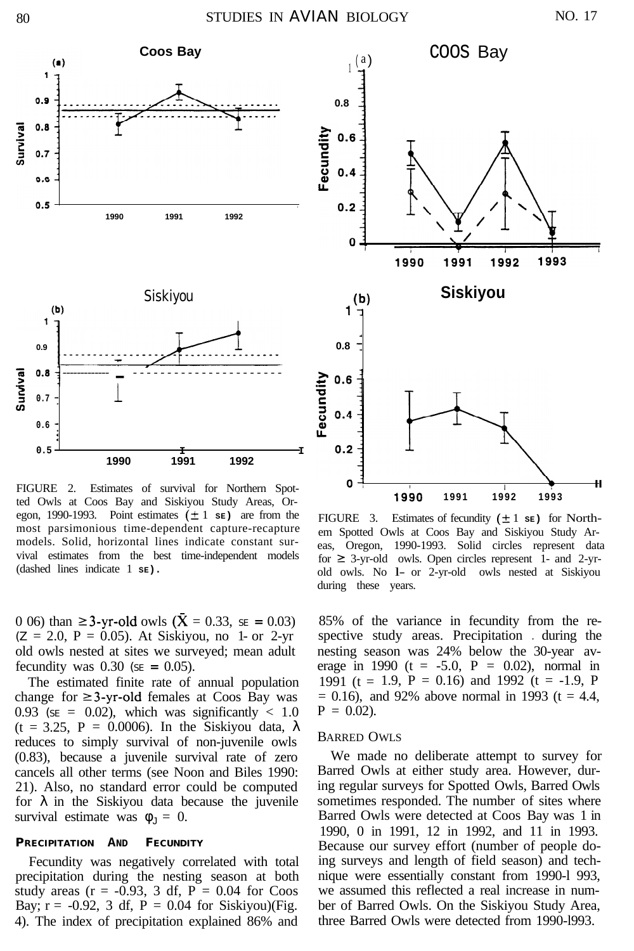( a ) 1

**0.8**

 $0.6$ 

 $0.4$ 





 $0.2$  $\mathbf 0$ 1993 1990 1991 1992 <sub>(b)</sub> Siskiyou  $\mathbf{1}$ **4 0.8** *<sup>11</sup>* Fecundity  $0.6$  $0.4$  $0.2$ 0;'  $\overline{I}$ **1991 1992 1993**

coos Bay

FIGURE 2. Estimates of survival for Northern Spotted Owls at Coos Bay and Siskiyou Study Areas, Oregon, 1990-1993. Point estimates  $(\pm 1 \text{ sE})$  are from the most parsimonious time-dependent capture-recapture models. Solid, horizontal lines indicate constant survival estimates from the best time-independent models (dashed lines indicate 1 **SE).**

0 06) than  $\geq$ 3-yr-old owls (X = 0.33,  $SE = 0.03$ )  $(Z = 2.0, P = 0.05)$ . At Siskiyou, no 1- or 2-yr old owls nested at sites we surveyed; mean adult fecundity was 0.30 (SE **=** 0.05).

The estimated finite rate of annual population change for  $\geq$ 3-yr-old females at Coos Bay was 0.93 (se = 0.02), which was significantly  $< 1.0$  $(t = 3.25, P = 0.0006)$ . In the Siskiyou data, reduces to simply survival of non-juvenile owls (0.83), because a juvenile survival rate of zero cancels all other terms (see Noon and Biles 1990: 21). Also, no standard error could be computed for in the Siskiyou data because the juvenile survival estimate was  $_{\odot} = 0.$ 

#### **PRECIPITATION AND FECUNDITY**

Fecundity was negatively correlated with total precipitation during the nesting season at both study areas ( $r = -0.93$ , 3 df,  $P = 0.04$  for Coos Bay;  $r = -0.92$ , 3 df,  $P = 0.04$  for Siskiyou)(Fig. 4). The index of precipitation explained 86% and

FIGURE 3. Estimates of fecundity  $(\pm 1 \text{ sE})$  for Northem Spotted Owls at Coos Bay and Siskiyou Study Areas, Oregon, 1990-1993. Solid circles represent data for  $\geq$  3-yr-old owls. Open circles represent 1- and 2-yrold owls. No l- or 2-yr-old owls nested at Siskiyou during these years.

*19i3019i30*

85% of the variance in fecundity from the respective study areas. Precipitation during the nesting season was 24% below the 30-year average in 1990 (t =  $-5.0$ , P = 0.02), normal in 1991 (t = 1.9, P = 0.16) and 1992 (t = -1.9, P  $= 0.16$ ), and 92% above normal in 1993 (t  $= 4.4$ ,  $P = 0.02$ ).

#### BARRED OWLS

We made no deliberate attempt to survey for Barred Owls at either study area. However, during regular surveys for Spotted Owls, Barred Owls sometimes responded. The number of sites where Barred Owls were detected at Coos Bay was 1 in 1990, 0 in 1991, 12 in 1992, and 11 in 1993. Because our survey effort (number of people doing surveys and length of field season) and technique were essentially constant from 1990-l 993, we assumed this reflected a real increase in number of Barred Owls. On the Siskiyou Study Area, three Barred Owls were detected from 1990-l993.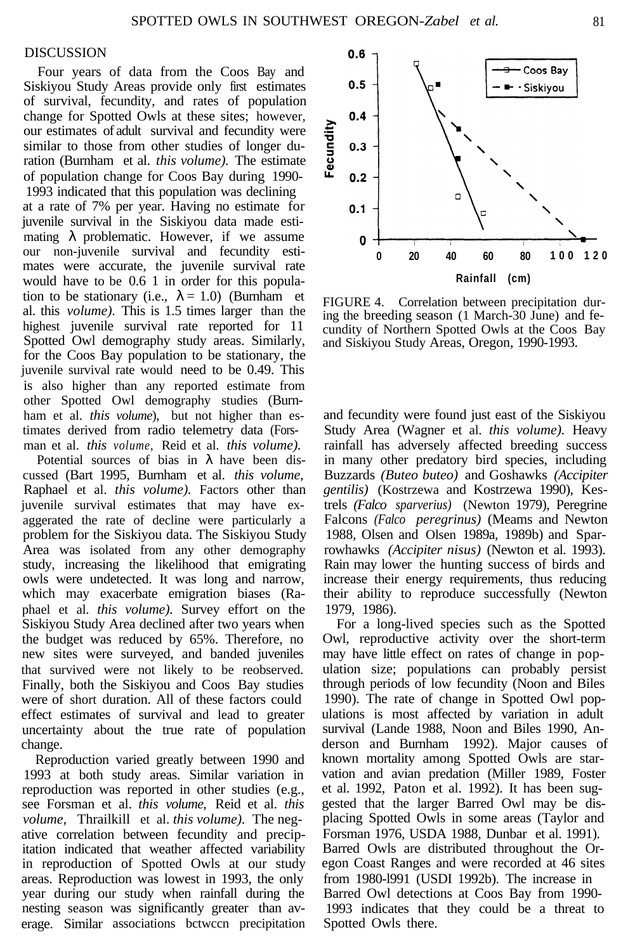#### DISCUSSION

Four years of data from the Coos Bay and Siskiyou Study Areas provide only first estimates of survival, fecundity, and rates of population change for Spotted Owls at these sites; however, our estimates of adult survival and fecundity were similar to those from other studies of longer duration (Burnham et al. *this volume).* The estimate of population change for Coos Bay during 1990-

1993 indicated that this population was declining at a rate of 7% per year. Having no estimate for juvenile survival in the Siskiyou data made estimating problematic. However, if we assume our non-juvenile survival and fecundity estimates were accurate, the juvenile survival rate would have to be 0.6 1 in order for this population to be stationary (i.e.,  $= 1.0$ ) (Burnham et al. this *volume).* This is 1.5 times larger than the highest juvenile survival rate reported for 11 Spotted Owl demography study areas. Similarly, for the Coos Bay population to be stationary, the juvenile survival rate would need to be 0.49. This is also higher than any reported estimate from other Spotted Owl demography studies (Burnham et al. *this volume*), but not higher than estimates derived from radio telemetry data (Forsman et al. *this volume,* Reid et al. *this volume).*

Potential sources of bias in have been discussed (Bart 1995, Burnham et al. *this volume,* Raphael et al. *this volume).* Factors other than juvenile survival estimates that may have exaggerated the rate of decline were particularly a problem for the Siskiyou data. The Siskiyou Study Area was isolated from any other demography study, increasing the likelihood that emigrating owls were undetected. It was long and narrow, which may exacerbate emigration biases (Raphael et al. *this volume).* Survey effort on the Siskiyou Study Area declined after two years when the budget was reduced by 65%. Therefore, no new sites were surveyed, and banded juveniles that survived were not likely to be reobserved. Finally, both the Siskiyou and Coos Bay studies were of short duration. All of these factors could effect estimates of survival and lead to greater uncertainty about the true rate of population change.

Reproduction varied greatly between 1990 and 1993 at both study areas. Similar variation in reproduction was reported in other studies (e.g., see Forsman et al. *this volume,* Reid et al. *this volume,* Thrailkill et al. *this volume).* The negative correlation between fecundity and precipitation indicated that weather affected variability in reproduction of Spotted Owls at our study areas. Reproduction was lowest in 1993, the only year during our study when rainfall during the nesting season was significantly greater than average. Similar associations bctwccn precipitation



FIGURE 4. Correlation between precipitation during the breeding season (1 March-30 June) and fecundity of Northern Spotted Owls at the Coos Bay and Siskiyou Study Areas, Oregon, 1990-1993.

and fecundity were found just east of the Siskiyou Study Area (Wagner et al. *this volume).* Heavy rainfall has adversely affected breeding success in many other predatory bird species, including Buzzards *(Buteo buteo)* and Goshawks *(Accipiter gentilis)* (Kostrzewa and Kostrzewa 1990), Kestrels *(Falco sparverius)* (Newton 1979), Peregrine Falcons *(Falco peregrinus)* (Meams and Newton 1988, Olsen and Olsen 1989a, 1989b) and Sparrowhawks *(Accipiter nisus)* (Newton et al. 1993). Rain may lower the hunting success of birds and increase their energy requirements, thus reducing their ability to reproduce successfully (Newton 1979, 1986).

For a long-lived species such as the Spotted Owl, reproductive activity over the short-term may have little effect on rates of change in population size; populations can probably persist through periods of low fecundity (Noon and Biles 1990). The rate of change in Spotted Owl populations is most affected by variation in adult survival (Lande 1988, Noon and Biles 1990, Anderson and Burnham 1992). Major causes of known mortality among Spotted Owls are starvation and avian predation (Miller 1989, Foster et al. 1992, Paton et al. 1992). It has been suggested that the larger Barred Owl may be displacing Spotted Owls in some areas (Taylor and Forsman 1976, USDA 1988, Dunbar et al. 1991). Barred Owls are distributed throughout the Oregon Coast Ranges and were recorded at 46 sites from 1980-l991 (USDI 1992b). The increase in Barred Owl detections at Coos Bay from 1990- 1993 indicates that they could be a threat to Spotted Owls there.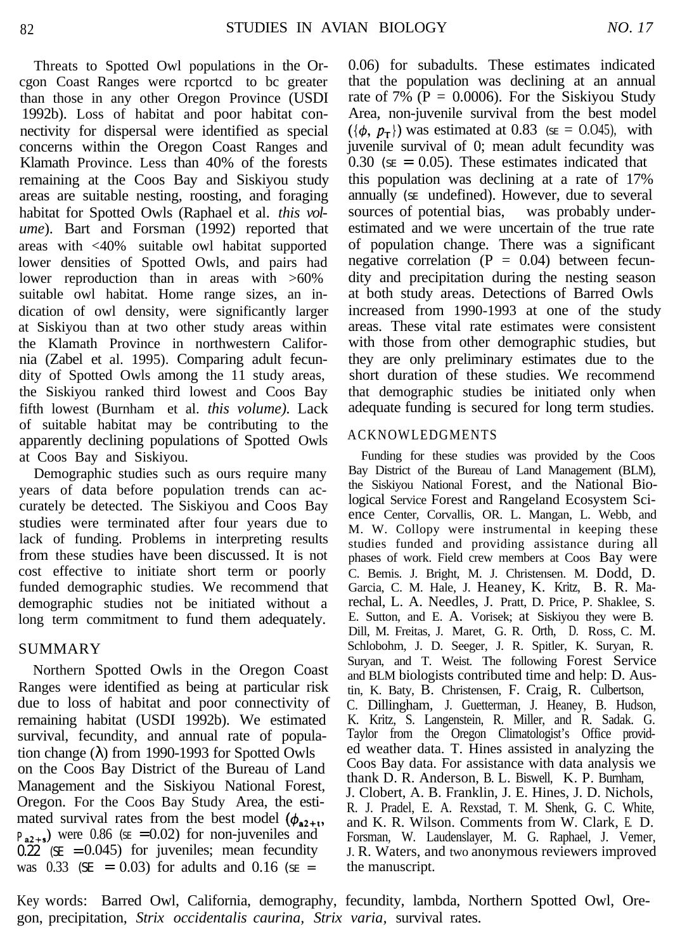Threats to Spotted Owl populations in the Orcgon Coast Ranges were rcportcd to bc greater than those in any other Oregon Province (USDI 1992b). Loss of habitat and poor habitat connectivity for dispersal were identified as special concerns within the Oregon Coast Ranges and Klamath Province. Less than 40% of the forests remaining at the Coos Bay and Siskiyou study areas are suitable nesting, roosting, and foraging habitat for Spotted Owls (Raphael et al. *this volume*). Bart and Forsman (1992) reported that areas with <40% suitable owl habitat supported lower densities of Spotted Owls, and pairs had lower reproduction than in areas with >60% suitable owl habitat. Home range sizes, an indication of owl density, were significantly larger at Siskiyou than at two other study areas within the Klamath Province in northwestern California (Zabel et al. 1995). Comparing adult fecundity of Spotted Owls among the 11 study areas, the Siskiyou ranked third lowest and Coos Bay fifth lowest (Burnham et al. *this volume).* Lack of suitable habitat may be contributing to the apparently declining populations of Spotted Owls at Coos Bay and Siskiyou.

Demographic studies such as ours require many years of data before population trends can accurately be detected. The Siskiyou and Coos Bay studies were terminated after four years due to lack of funding. Problems in interpreting results from these studies have been discussed. It is not cost effective to initiate short term or poorly funded demographic studies. We recommend that demographic studies not be initiated without a long term commitment to fund them adequately.

## SUMMARY

Northern Spotted Owls in the Oregon Coast Ranges were identified as being at particular risk due to loss of habitat and poor connectivity of remaining habitat (USDI 1992b). We estimated survival, fecundity, and annual rate of population change ( ) from 1990-1993 for Spotted Owls on the Coos Bay District of the Bureau of Land Management and the Siskiyou National Forest, Oregon. For the Coos Bay Study Area, the estimated survival rates from the best model  $(\phi_{n^2+1},$  $P_{a2+s}$ ) were 0.86 (se = 0.02) for non-juveniles and  $0.22 \quad \text{(SE)} = 0.045$  for juveniles; mean fecundity was  $0.33$  (SE = 0.03) for adults and 0.16 (SE =

0.06) for subadults. These estimates indicated that the population was declining at an annual rate of  $7\%$  (P = 0.0006). For the Siskiyou Study Area, non-juvenile survival from the best model  $({\phi, p_{\tau}})$  was estimated at 0.83 (se = 0.045), with juvenile survival of 0; mean adult fecundity was  $0.30$  (se = 0.05). These estimates indicated that this population was declining at a rate of 17% annually (SE undefined). However, due to several sources of potential bias, was probably underestimated and we were uncertain of the true rate of population change. There was a significant negative correlation  $(P = 0.04)$  between fecundity and precipitation during the nesting season at both study areas. Detections of Barred Owls increased from 1990-1993 at one of the study areas. These vital rate estimates were consistent with those from other demographic studies, but they are only preliminary estimates due to the short duration of these studies. We recommend that demographic studies be initiated only when adequate funding is secured for long term studies.

## ACKNOWLEDGMENTS

Funding for these studies was provided by the Coos Bay District of the Bureau of Land Management (BLM), the Siskiyou National Forest, and the National Biological Service Forest and Rangeland Ecosystem Science Center, Corvallis, OR. L. Mangan, L. Webb, and M. W. Collopy were instrumental in keeping these studies funded and providing assistance during all phases of work. Field crew members at Coos Bay were C. Bemis. J. Bright, M. J. Christensen. M. Dodd, D. Garcia, C. M. Hale, J. Heaney, K. Kritz, B. R. Marechal, L. A. Needles, J. Pratt, D. Price, P. Shaklee, S. E. Sutton, and E. A. Vorisek; at Siskiyou they were B. Dill, M. Freitas, J. Maret, G. R. Orth, D. Ross, C. M. Schlobohm, J. D. Seeger, J. R. Spitler, K. Suryan, R. Suryan, and T. Weist. The following Forest Service and BLM biologists contributed time and help: D. Austin, K. Baty, B. Christensen, F. Craig, R. Culbertson, C. Dillingham, J. Guetterman, J. Heaney, B. Hudson, K. Kritz, S. Langenstein, R. Miller, and R. Sadak. G. Taylor from the Oregon Climatologist's Office provided weather data. T. Hines assisted in analyzing the Coos Bay data. For assistance with data analysis we thank D. R. Anderson, B. L. Biswell, K. P. Burnham, J. Clobert, A. B. Franklin, J. E. Hines, J. D. Nichols, R. J. Pradel, E. A. Rexstad, T. M. Shenk, G. C. White, and K. R. Wilson. Comments from W. Clark, E. D. Forsman, W. Laudenslayer, M. G. Raphael, J. Vemer, J. R. Waters, and two anonymous reviewers improved the manuscript.

Key words: Barred Owl, California, demography, fecundity, lambda, Northern Spotted Owl, Oregon, precipitation, *Strix occidentalis caurina, Strix varia,* survival rates.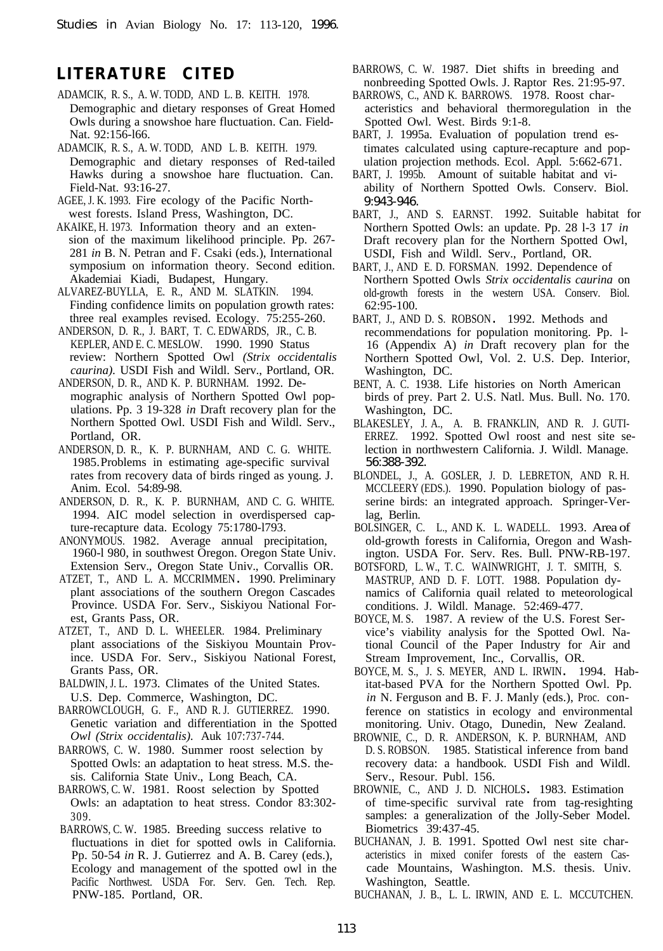## **LITERATURE CITED**

- ADAMCIK, R. S., A. W. TODD, AND L. B. KEITH. 1978. Demographic and dietary responses of Great Homed Owls during a snowshoe hare fluctuation. Can. Field-Nat. 92:156-l66.
- ADAMCIK, R. S., A. W. TODD, AND L. B. KEITH. 1979. Demographic and dietary responses of Red-tailed Hawks during a snowshoe hare fluctuation. Can. Field-Nat. 93:16-27.
- AGEE, J. K. 1993. Fire ecology of the Pacific Northwest forests. Island Press, Washington, DC.
- AKAIKE, H. 1973. Information theory and an extension of the maximum likelihood principle. Pp. 267- 281 *in* B. N. Petran and F. Csaki (eds.), International symposium on information theory. Second edition. Akademiai Kiadi, Budapest, Hungary.
- ALVAREZ-BUYLLA, E. R., AND M. SLATKIN. 1994. Finding confidence limits on population growth rates: three real examples revised. Ecology. 75:255-260.
- ANDERSON, D. R., J. BART, T. C. EDWARDS, JR., C. B. KEPLER, AND E. C. MESLOW. 1990. 1990 Status review: Northern Spotted Owl *(Strix occidentalis caurina).* USDI Fish and Wildl. Serv., Portland, OR.
- ANDERSON, D. R., AND K. P. BURNHAM. 1992. Demographic analysis of Northern Spotted Owl populations. Pp. 3 19-328 *in* Draft recovery plan for the Northern Spotted Owl. USDI Fish and Wildl. Serv., Portland, OR.
- ANDERSON, D. R., K. P. BURNHAM, AND C. G. WHITE. 1985. Problems in estimating age-specific survival rates from recovery data of birds ringed as young. J. Anim. Ecol. 54:89-98.
- ANDERSON, D. R., K. P. BURNHAM, AND C. G. WHITE. 1994. AIC model selection in overdispersed capture-recapture data. Ecology 75:1780-l793.
- ANONYMOUS. 1982. Average annual precipitation, 1960-l 980, in southwest Oregon. Oregon State Univ. Extension Serv., Oregon State Univ., Corvallis OR.
- ATZET, T., AND L. A. MCCRIMMEN**.** 1990. Preliminary plant associations of the southern Oregon Cascades Province. USDA For. Serv., Siskiyou National Forest, Grants Pass, OR.
- ATZET, T., AND D. L. WHEELER. 1984. Preliminary plant associations of the Siskiyou Mountain Province. USDA For. Serv., Siskiyou National Forest, Grants Pass, OR.
- BALDWIN, J. L. 1973. Climates of the United States. U.S. Dep. Commerce, Washington, DC.
- BARROWCLOUGH, G. F., AND R. J. GUTIERREZ. 1990. Genetic variation and differentiation in the Spotted *Owl (Strix occidentalis).* Auk 107:737-744.
- BARROWS, C. W. 1980. Summer roost selection by Spotted Owls: an adaptation to heat stress. M.S. thesis. California State Univ., Long Beach, CA.
- BARROWS, C. W. 1981. Roost selection by Spotted Owls: an adaptation to heat stress. Condor 83:302- 309*.*
- BARROWS, C. W. 1985. Breeding success relative to fluctuations in diet for spotted owls in California. Pp. 50-54 *in* R. J. Gutierrez and A. B. Carey (eds.), Ecology and management of the spotted owl in the Pacific Northwest. USDA For. Serv. Gen. Tech. Rep. PNW-185. Portland, OR.
- BARROWS, C. W. 1987. Diet shifts in breeding and nonbreeding Spotted Owls. J. Raptor Res. 21:95-97.
- BARROWS, C., AND K. BARROWS. 1978. Roost characteristics and behavioral thermoregulation in the Spotted Owl. West. Birds 9:1-8.
- BART, J. 1995a. Evaluation of population trend estimates calculated using capture-recapture and population projection methods. Ecol. Appl. 5:662-671.
- BART, J. 1995b. Amount of suitable habitat and viability of Northern Spotted Owls. Conserv. Biol. 9:943-946.
- BART, J., AND S. EARNST. 1992. Suitable habitat for Northern Spotted Owls: an update. Pp. 28 l-3 17 *in* Draft recovery plan for the Northern Spotted Owl, USDI, Fish and Wildl. Serv., Portland, OR.
- BART, J., AND E. D. FORSMAN. 1992. Dependence of Northern Spotted Owls *Strix occidentalis caurina* on old-growth forests in the western USA. Conserv. Biol. 62:95-100.
- BART, J., AND D. S. ROBSON**.** 1992. Methods and recommendations for population monitoring. Pp. l-16 (Appendix A) *in* Draft recovery plan for the Northern Spotted Owl, Vol. 2. U.S. Dep. Interior, Washington, DC.
- BENT, A. C. 1938. Life histories on North American birds of prey. Part 2. U.S. Natl. Mus. Bull. No. 170. Washington, DC.
- BLAKESLEY, J. A., A. B. FRANKLIN, AND R. J. GUTI-ERREZ. 1992. Spotted Owl roost and nest site selection in northwestern California. J. Wildl. Manage. 56:388-392.
- BLONDEL, J., A. GOSLER, J. D. LEBRETON, AND R. H. MCCLEERY (EDS.). 1990. Population biology of passerine birds: an integrated approach. Springer-Verlag, Berlin.
- BOLSINGER, C. L., AND K. L. WADELL. 1993. Area of old-growth forests in California, Oregon and Washington. USDA For. Serv. Res. Bull. PNW-RB-197.
- BOTSFORD, L. W., T. C. WAINWRIGHT, J. T. SMITH, S. MASTRUP, AND D. F. LOTT. 1988. Population dynamics of California quail related to meteorological conditions. J. Wildl. Manage. 52:469-477.
- BOYCE, M. S. 1987. A review of the U.S. Forest Service's viability analysis for the Spotted Owl. National Council of the Paper Industry for Air and Stream Improvement, Inc., Corvallis, OR.
- BOYCE, M. S., J. S. MEYER, AND L. IRWIN**.** 1994. Habitat-based PVA for the Northern Spotted Owl. Pp. *in* N. Ferguson and B. F. J. Manly (eds.), Proc. conference on statistics in ecology and environmental monitoring. Univ. Otago, Dunedin, New Zealand.
- BROWNIE, C., D. R. ANDERSON, K. P. BURNHAM, AND D. S. ROBSON. 1985. Statistical inference from band recovery data: a handbook. USDI Fish and Wildl. Serv., Resour. Publ. 156.
- BROWNIE, C., AND J. D. NICHOLS**.** 1983. Estimation of time-specific survival rate from tag-resighting samples: a generalization of the Jolly-Seber Model. Biometrics 39:437-45.
- BUCHANAN, J. B. 1991. Spotted Owl nest site characteristics in mixed conifer forests of the eastern Cascade Mountains, Washington. M.S. thesis. Univ. Washington, Seattle.
- BUCHANAN, J. B., L. L. IRWIN, AND E. L. MCCUTCHEN.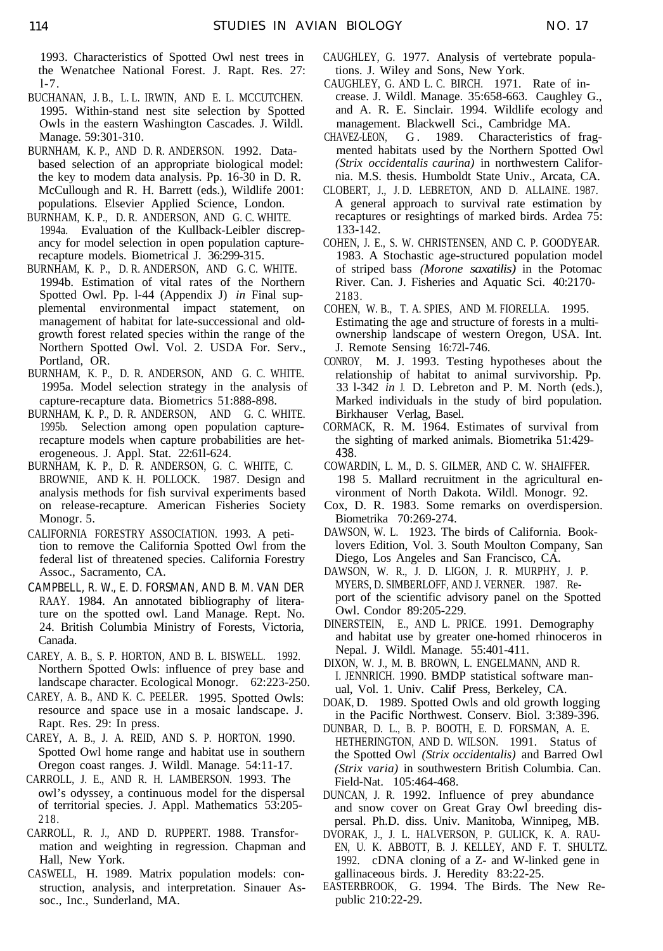1993. Characteristics of Spotted Owl nest trees in the Wenatchee National Forest. J. Rapt. Res. 27: l-7.

- BUCHANAN, J. B., L. L. IRWIN, AND E. L. MCCUTCHEN. 1995. Within-stand nest site selection by Spotted Owls in the eastern Washington Cascades. J. Wildl. Manage. 59:301-310.
- BURNHAM, K. P., AND D. R. ANDERSON. 1992. Databased selection of an appropriate biological model: the key to modem data analysis. Pp. 16-30 in D. R. McCullough and R. H. Barrett (eds.), Wildlife 2001: populations. Elsevier Applied Science, London.
- BURNHAM, K. P., D. R. ANDERSON, AND G. C. WHITE. 1994a. Evaluation of the Kullback-Leibler discrepancy for model selection in open population capturerecapture models. Biometrical J. 36:299-315.
- BURNHAM, K. P., D. R. ANDERSON, AND G. C. WHITE. 1994b. Estimation of vital rates of the Northern Spotted Owl. Pp. l-44 (Appendix J) *in* Final supplemental environmental impact statement, on management of habitat for late-successional and oldgrowth forest related species within the range of the Northern Spotted Owl. Vol. 2. USDA For. Serv., Portland, OR.
- BURNHAM, K. P., D. R. ANDERSON, AND G. C. WHITE. 1995a. Model selection strategy in the analysis of capture-recapture data. Biometrics 51:888-898.
- BURNHAM, K. P., D. R. ANDERSON, AND G. C. WHITE. 1995b. Selection among open population capturerecapture models when capture probabilities are heterogeneous. J. Appl. Stat. 22:61l-624.
- BURNHAM, K. P., D. R. ANDERSON, G. C. WHITE, C. BROWNIE, AND K. H. POLLOCK. 1987. Design and analysis methods for fish survival experiments based on release-recapture. American Fisheries Society Monogr. 5.
- CALIFORNIA FORESTRY ASSOCIATION. 1993. A petition to remove the California Spotted Owl from the federal list of threatened species. California Forestry Assoc., Sacramento, CA.
- CAMPBELL, R. W., E. D. FORSMAN, AND B. M. VAN DER RAAY. 1984. An annotated bibliography of literature on the spotted owl. Land Manage. Rept. No. 24. British Columbia Ministry of Forests, Victoria, Canada.
- CAREY, A. B., S. P. HORTON, AND B. L. BISWELL. 1992. Northern Spotted Owls: influence of prey base and landscape character. Ecological Monogr. 62:223-250.
- CAREY, A. B., AND K. C. PEELER. 1995. Spotted Owls: resource and space use in a mosaic landscape. J. Rapt. Res. 29: In press.
- CAREY, A. B., J. A. REID, AND S. P. HORTON. 1990. Spotted Owl home range and habitat use in southern Oregon coast ranges. J. Wildl. Manage. 54:11-17.
- CARROLL, J. E., AND R. H. LAMBERSON. 1993. The owl's odyssey, a continuous model for the dispersal of territorial species. J. Appl. Mathematics 53:205- 218.
- CARROLL, R. J., AND D. RUPPERT. 1988. Transformation and weighting in regression. Chapman and Hall, New York.
- CASWELL, H. 1989. Matrix population models: construction, analysis, and interpretation. Sinauer Assoc., Inc., Sunderland, MA.
- CAUGHLEY, G. 1977. Analysis of vertebrate populations. J. Wiley and Sons, New York.
- CAUGHLEY, G. AND L. C. BIRCH. 1971. Rate of increase. J. Wildl. Manage. 35:658-663. Caughley G., and A. R. E. Sinclair. 1994. Wildlife ecology and management. Blackwell Sci., Cambridge MA.
- CHAVEZ-LEON, G. 1989. Characteristics of fragmented habitats used by the Northern Spotted Owl *(Strix occidentalis caurina)* in northwestern California. M.S. thesis. Humboldt State Univ., Arcata, CA.
- CLOBERT, J., J. D. LEBRETON, AND D. ALLAINE. 1987. A general approach to survival rate estimation by recaptures or resightings of marked birds. Ardea 75: 133-142.
- COHEN, J. E., S. W. CHRISTENSEN, AND C. P. GOODYEAR. 1983. A Stochastic age-structured population model of striped bass *(Morone saxatilis)* in the Potomac River. Can. J. Fisheries and Aquatic Sci. 40:2170- 2183.
- COHEN, W. B., T. A. SPIES, AND M. FIORELLA. 1995. Estimating the age and structure of forests in a multiownership landscape of western Oregon, USA. Int. J. Remote Sensing 16:72l-746.
- CONROY, M. J. 1993. Testing hypotheses about the relationship of habitat to animal survivorship. Pp. 33 l-342 *in* J. D. Lebreton and P. M. North (eds.), Marked individuals in the study of bird population. Birkhauser Verlag, Basel.
- CORMACK, R. M. 1964. Estimates of survival from the sighting of marked animals. Biometrika 51:429- 438.
- COWARDIN, L. M., D. S. GILMER, AND C. W. SHAIFFER. 198 5. Mallard recruitment in the agricultural environment of North Dakota. Wildl. Monogr. 92.
- Cox, D. R. 1983. Some remarks on overdispersion. Biometrika 70:269-274.
- DAWSON, W. L. 1923. The birds of California. Booklovers Edition, Vol. 3. South Moulton Company, San Diego, Los Angeles and San Francisco, CA.
- DAWSON, W. R., J. D. LIGON, J. R. MURPHY, J. P. MYERS, D. SIMBERLOFF, AND J. VERNER. 1987. Report of the scientific advisory panel on the Spotted Owl. Condor 89:205-229.
- DINERSTEIN, E., AND L. PRICE. 1991. Demography and habitat use by greater one-homed rhinoceros in Nepal. J. Wildl. Manage. 55:401-411.
- DIXON, W. J., M. B. BROWN, L. ENGELMANN, AND R. I. JENNRICH. 1990. BMDP statistical software manual, Vol. 1. Univ. Calif Press, Berkeley, CA.
- DOAK, D. 1989. Spotted Owls and old growth logging in the Pacific Northwest. Conserv. Biol. 3:389-396.
- DUNBAR, D. L., B. P. BOOTH, E. D. FORSMAN, A. E. HETHERINGTON, AND D. WILSON. 1991. Status of the Spotted Owl *(Strix occidentalis)* and Barred Owl *(Strix varia)* in southwestern British Columbia. Can. Field-Nat. 105:464-468.
- DUNCAN, J. R. 1992. Influence of prey abundance and snow cover on Great Gray Owl breeding dispersal. Ph.D. diss. Univ. Manitoba, Winnipeg, MB.
- DVORAK, J., J. L. HALVERSON, P. GULICK, K. A. RAU-EN, U. K. ABBOTT, B. J. KELLEY, AND F. T. SHULTZ. 1992. cDNA cloning of a Z- and W-linked gene in gallinaceous birds. J. Heredity 83:22-25.
- EASTERBROOK, G. 1994. The Birds. The New Republic 210:22-29.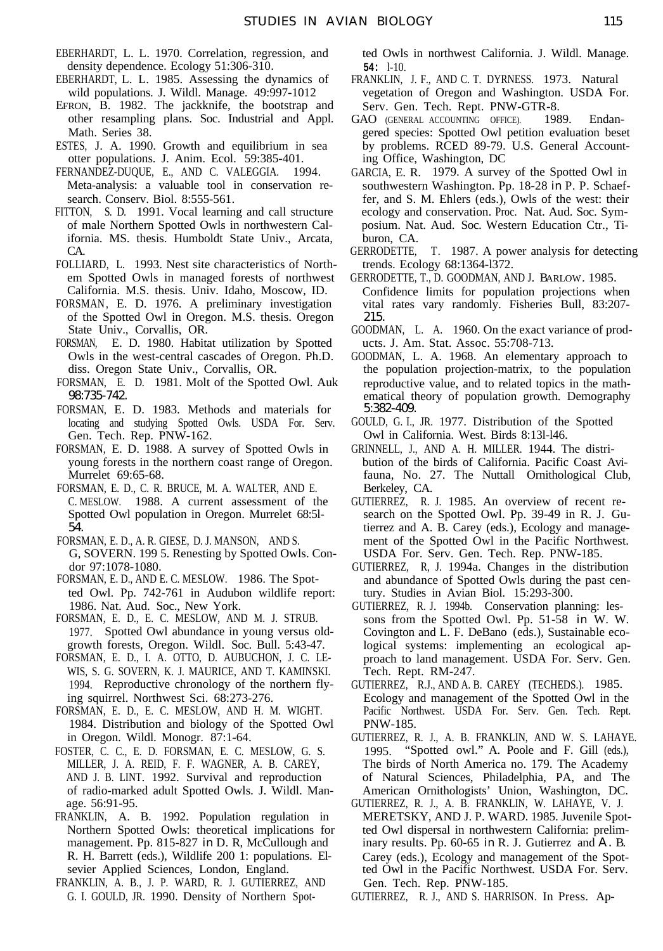- EBERHARDT, L. L. 1970. Correlation, regression, and density dependence. Ecology 51:306-310.
- EBERHARDT, L. L. 1985. Assessing the dynamics of wild populations. J. Wildl. Manage. 49:997-1012
- EFRON, B. 1982. The jackknife, the bootstrap and other resampling plans. Soc. Industrial and Appl. Math. Series 38.
- ESTES, J. A. 1990. Growth and equilibrium in sea otter populations. J. Anim. Ecol. 59:385-401.
- FERNANDEZ-DUQUE, E., AND C. VALEGGIA. 1994. Meta-analysis: a valuable tool in conservation research. Conserv. Biol. 8:555-561.
- FITTON, S. D. 1991. Vocal learning and call structure of male Northern Spotted Owls in northwestern California. MS. thesis. Humboldt State Univ., Arcata,  $\Gamma$ A
- FOLLIARD, L. 1993. Nest site characteristics of Northem Spotted Owls in managed forests of northwest California. M.S. thesis. Univ. Idaho, Moscow, ID.
- FORSMAN, E. D. 1976. A preliminary investigation of the Spotted Owl in Oregon. M.S. thesis. Oregon State Univ., Corvallis, OR.
- FORSMAN, E. D. 1980. Habitat utilization by Spotted Owls in the west-central cascades of Oregon. Ph.D. diss. Oregon State Univ., Corvallis, OR.
- FORSMAN, E. D. 1981. Molt of the Spotted Owl. Auk 98:735-742.
- FORSMAN, E. D. 1983. Methods and materials for locating and studying Spotted Owls. USDA For. Serv. Gen. Tech. Rep. PNW-162.
- FORSMAN, E. D. 1988. A survey of Spotted Owls in young forests in the northern coast range of Oregon. Murrelet 69:65-68.
- FORSMAN, E. D., C. R. BRUCE, M. A. WALTER, AND E. C. MESLOW. 1988. A current assessment of the Spotted Owl population in Oregon. Murrelet 68:5l-54.
- FORSMAN, E. D., A. R. GIESE, D. J. MANSON, AND S. G, SOVERN. 199 5. Renesting by Spotted Owls. Condor 97:1078-1080.
- FORSMAN, E. D., AND E. C. MESLOW. 1986. The Spotted Owl. Pp. 742-761 in Audubon wildlife report: 1986. Nat. Aud. Soc., New York.
- FORSMAN, E. D., E. C. MESLOW, AND M. J. STRUB. 1977. Spotted Owl abundance in young versus oldgrowth forests, Oregon. Wildl. Soc. Bull. 5:43-47.
- FORSMAN, E. D., I. A. OTTO, D. AUBUCHON, J. C. LE-WIS, S. G. SOVERN, K. J. MAURICE, AND T. KAMINSKI. 1994. Reproductive chronology of the northern flying squirrel. Northwest Sci. 68:273-276.
- FORSMAN, E. D., E. C. MESLOW, AND H. M. WIGHT. 1984. Distribution and biology of the Spotted Owl in Oregon. Wildl. Monogr. 87:1-64.
- FOSTER, C. C., E. D. FORSMAN, E. C. MESLOW, G. S. MILLER, J. A. REID, F. F. WAGNER, A. B. CAREY, AND J. B. LINT. 1992. Survival and reproduction of radio-marked adult Spotted Owls. J. Wildl. Manage. 56:91-95.
- FRANKLIN, A. B. 1992. Population regulation in Northern Spotted Owls: theoretical implications for management. Pp. 815-827 *in* D. R, McCullough and R. H. Barrett (eds.), Wildlife 200 1: populations. Elsevier Applied Sciences, London, England.
- FRANKLIN, A. B., J. P. WARD, R. J. GUTIERREZ, AND G. I. GOULD, JR. 1990. Density of Northern Spot-

ted Owls in northwest California. J. Wildl. Manage. **54:** l-10.

- FRANKLIN, J. F., AND C. T. DYRNESS. 1973. Natural vegetation of Oregon and Washington. USDA For. Serv. Gen. Tech. Rept. PNW-GTR-8.
- GAO (GENERAL ACCOUNTING OFFICE). 1989. Endangered species: Spotted Owl petition evaluation beset by problems. RCED 89-79. U.S. General Accounting Office, Washington, DC
- GARCIA, E. R. 1979. A survey of the Spotted Owl in southwestern Washington. Pp. 18-28 *in* P. P. Schaeffer, and S. M. Ehlers (eds.), Owls of the west: their ecology and conservation. Proc. Nat. Aud. Soc. Symposium. Nat. Aud. Soc. Western Education Ctr., Tiburon, CA.
- GERRODETTE, T. 1987. A power analysis for detecting trends. Ecology 68:1364-l372.
- GERRODETTE, T., D. GOODMAN, AND J. BARLOW. 1985. Confidence limits for population projections when vital rates vary randomly. Fisheries Bull, 83:207- 215.
- GOODMAN, L. A. 1960. On the exact variance of products. J. Am. Stat. Assoc. 55:708-713.
- GOODMAN, L. A. 1968. An elementary approach to the population projection-matrix, to the population reproductive value, and to related topics in the mathematical theory of population growth. Demography 5:382-409.
- GOULD, G. I., JR. 1977. Distribution of the Spotted Owl in California. West. Birds 8:13l-l46.
- GRINNELL, J., AND A. H. MILLER. 1944. The distribution of the birds of California. Pacific Coast Avifauna, No. 27. The Nuttall Ornithological Club, Berkeley, CA.
- GUTIERREZ, R. J. 1985. An overview of recent research on the Spotted Owl. Pp. 39-49 in R. J. Gutierrez and A. B. Carey (eds.), Ecology and management of the Spotted Owl in the Pacific Northwest. USDA For. Serv. Gen. Tech. Rep. PNW-185.
- GUTIERREZ, R, J. 1994a. Changes in the distribution and abundance of Spotted Owls during the past century. Studies in Avian Biol. 15:293-300.
- GUTIERREZ, R. J. 1994b. Conservation planning: lessons from the Spotted Owl. Pp. 51-58 *in* W. W. Covington and L. F. DeBano (eds.), Sustainable ecological systems: implementing an ecological approach to land management. USDA For. Serv. Gen. Tech. Rept. RM-247.
- GUTIERREZ, R.J., AND A. B. CAREY (TECHEDS.). 1985. Ecology and management of the Spotted Owl in the Pacific Northwest. USDA For. Serv. Gen. Tech. Rept. PNW-185.
- GUTIERREZ, R. J., A. B. FRANKLIN, AND W. S. LAHAYE. 1995. "Spotted owl." A. Poole and F. Gill (eds.), The birds of North America no. 179. The Academy of Natural Sciences, Philadelphia, PA, and The American Ornithologists' Union, Washington, DC.
- GUTIERREZ, R. J., A. B. FRANKLIN, W. LAHAYE, V. J. MERETSKY, AND J. P. WARD. 1985. Juvenile Spotted Owl dispersal in northwestern California: preliminary results. Pp. 60-65 *in* R. J. Gutierrez and A. B. Carey (eds.), Ecology and management of the Spotted Owl in the Pacific Northwest. USDA For. Serv. Gen. Tech. Rep. PNW-185.
- GUTIERREZ, R. J., AND S. HARRISON. In Press. Ap-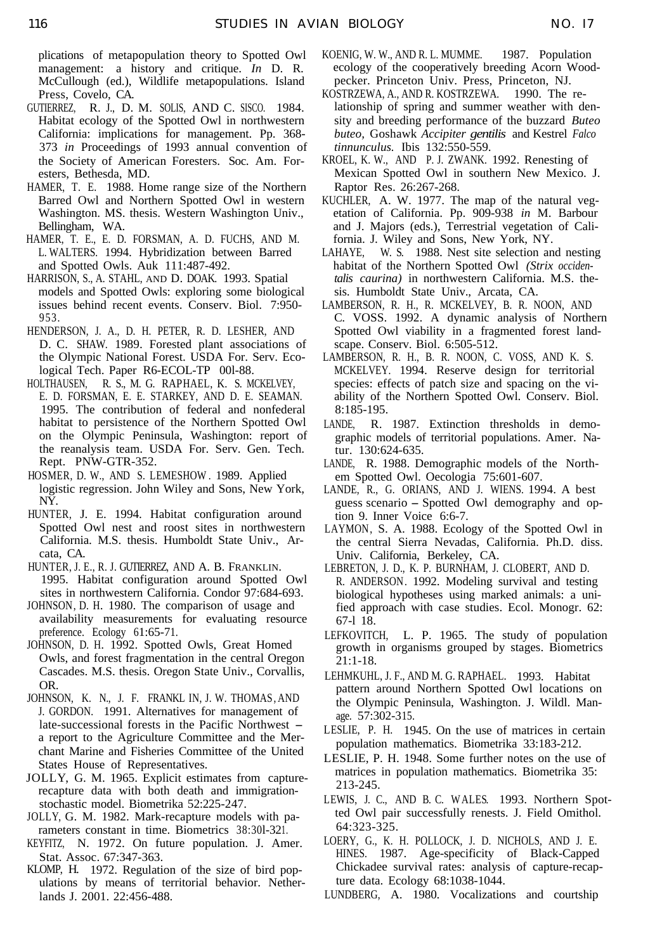plications of metapopulation theory to Spotted Owl management: a history and critique. *In* D. R. McCullough (ed.), Wildlife metapopulations. Island Press, Covelo, CA.

- GUTIERREZ, R. J., D. M. SOLIS, AND C. SISCO. 1984. Habitat ecology of the Spotted Owl in northwestern California: implications for management. Pp. 368- 373 *in* Proceedings of 1993 annual convention of the Society of American Foresters. Soc. Am. Foresters, Bethesda, MD.
- HAMER, T. E. 1988. Home range size of the Northern Barred Owl and Northern Spotted Owl in western Washington. MS. thesis. Western Washington Univ., Bellingham, WA.
- HAMER, T. E., E. D. FORSMAN, A. D. FUCHS, AND M. L. WALTERS. 1994. Hybridization between Barred and Spotted Owls. Auk 111:487-492.
- HARRISON, S., A. STAHL, AND D. DOAK. 1993. Spatial models and Spotted Owls: exploring some biological issues behind recent events. Conserv. Biol. 7:950- 953.
- HENDERSON, J. A., D. H. PETER, R. D. LESHER, AND D. C. SHAW. 1989. Forested plant associations of the Olympic National Forest. USDA For. Serv. Ecological Tech. Paper R6-ECOL-TP 00l-88.
- HOLTHAUSEN, R. S., M. G. RAPHAEL, K. S. MCKELVEY, E. D. FORSMAN, E. E. STARKEY, AND D. E. SEAMAN. 1995. The contribution of federal and nonfederal habitat to persistence of the Northern Spotted Owl on the Olympic Peninsula, Washington: report of the reanalysis team. USDA For. Serv. Gen. Tech. Rept. PNW-GTR-352.
- HOSMER, D. W., AND S. LEMESHOW . 1989. Applied logistic regression. John Wiley and Sons, New York, NY.
- HUNTER, J. E. 1994. Habitat configuration around Spotted Owl nest and roost sites in northwestern California. M.S. thesis. Humboldt State Univ., Arcata, CA.
- HUNTER, J. E., R. J. GUTIERREZ, AND A. B. FRANKLIN. 1995. Habitat configuration around Spotted Owl sites in northwestern California. Condor 97:684-693.
- JOHNSON, D. H. 1980. The comparison of usage and availability measurements for evaluating resource preference. Ecology 61:65-71.
- JOHNSON, D. H. 1992. Spotted Owls, Great Homed Owls, and forest fragmentation in the central Oregon Cascades. M.S. thesis. Oregon State Univ., Corvallis, OR.
- JOHNSON, K. N., J. F. FRANKL IN, J. W. THOMAS, AND J. GORDON. 1991. Alternatives for management of late-successional forests in the Pacific Northwest a report to the Agriculture Committee and the Merchant Marine and Fisheries Committee of the United States House of Representatives.
- JOLLY, G. M. 1965. Explicit estimates from capturerecapture data with both death and immigrationstochastic model. Biometrika 52:225-247.
- JOLLY, G. M. 1982. Mark-recapture models with parameters constant in time. Biometrics 38:30l-321.
- KEYFITZ, N. 1972. On future population. J. Amer. Stat. Assoc. 67:347-363.
- KLOMP, H. 1972. Regulation of the size of bird populations by means of territorial behavior. Netherlands J. 2001. 22:456-488.
- KOENIG, W. W., AND R. L. MUMME. 1987. Population ecology of the cooperatively breeding Acorn Woodpecker. Princeton Univ. Press, Princeton, NJ.
- KOSTRZEWA, A., AND R. KOSTRZEWA. 1990. The relationship of spring and summer weather with density and breeding performance of the buzzard *Buteo buteo,* Goshawk *Accipiter gentilis* and Kestrel *Falco tinnunculus.* Ibis 132:550-559.
- KROEL, K. W., AND P. J. ZWANK. 1992. Renesting of Mexican Spotted Owl in southern New Mexico. J. Raptor Res. 26:267-268.
- KUCHLER, A. W. 1977. The map of the natural vegetation of California. Pp. 909-938 *in* M. Barbour and J. Majors (eds.), Terrestrial vegetation of California. J. Wiley and Sons, New York, NY.
- LAHAYE, W. S. 1988. Nest site selection and nesting habitat of the Northern Spotted Owl *(Strix occidentalis caurina)* in northwestern California. M.S. thesis. Humboldt State Univ., Arcata, CA.
- LAMBERSON, R. H., R. MCKELVEY, B. R. NOON, AND C. VOSS. 1992. A dynamic analysis of Northern Spotted Owl viability in a fragmented forest landscape. Conserv. Biol. 6:505-512.
- LAMBERSON, R. H., B. R. NOON, C. VOSS, AND K. S. MCKELVEY. 1994. Reserve design for territorial species: effects of patch size and spacing on the viability of the Northern Spotted Owl. Conserv. Biol. 8:185-195.
- LANDE, R. 1987. Extinction thresholds in demographic models of territorial populations. Amer. Natur. 130:624-635.
- LANDE, R. 1988. Demographic models of the Northem Spotted Owl. Oecologia 75:601-607.
- LANDE, R., G. ORIANS, AND J. WIENS. 1994. A best guess scenario - Spotted Owl demography and option 9. Inner Voice 6:6-7.
- LAYMON, S. A. 1988. Ecology of the Spotted Owl in the central Sierra Nevadas, California. Ph.D. diss. Univ. California, Berkeley, CA.
- LEBRETON, J. D., K. P. BURNHAM, J. CLOBERT, AND D. R. ANDERSON. 1992. Modeling survival and testing biological hypotheses using marked animals: a unified approach with case studies. Ecol. Monogr. 62: 67-l 18.
- LEFKOVITCH, L. P. 1965. The study of population growth in organisms grouped by stages. Biometrics 21:1-18.
- LEHMKUHL, J. F., AND M. G. RAPHAEL. 1993. Habitat pattern around Northern Spotted Owl locations on the Olympic Peninsula, Washington. J. Wildl. Manage. 57:302-315.
- LESLIE, P. H. 1945. On the use of matrices in certain population mathematics. Biometrika 33:183-212.
- LESLIE, P. H. 1948. Some further notes on the use of matrices in population mathematics. Biometrika 35: 213-245.
- LEWIS, J. C., AND B. C. WALES. 1993. Northern Spotted Owl pair successfully renests. J. Field Omithol. 64:323-325.
- LOERY, G., K. H. POLLOCK, J. D. NICHOLS, AND J. E. HINES. 1987. Age-specificity of Black-Capped Chickadee survival rates: analysis of capture-recapture data. Ecology 68:1038-1044.
- LUNDBERG, A. 1980. Vocalizations and courtship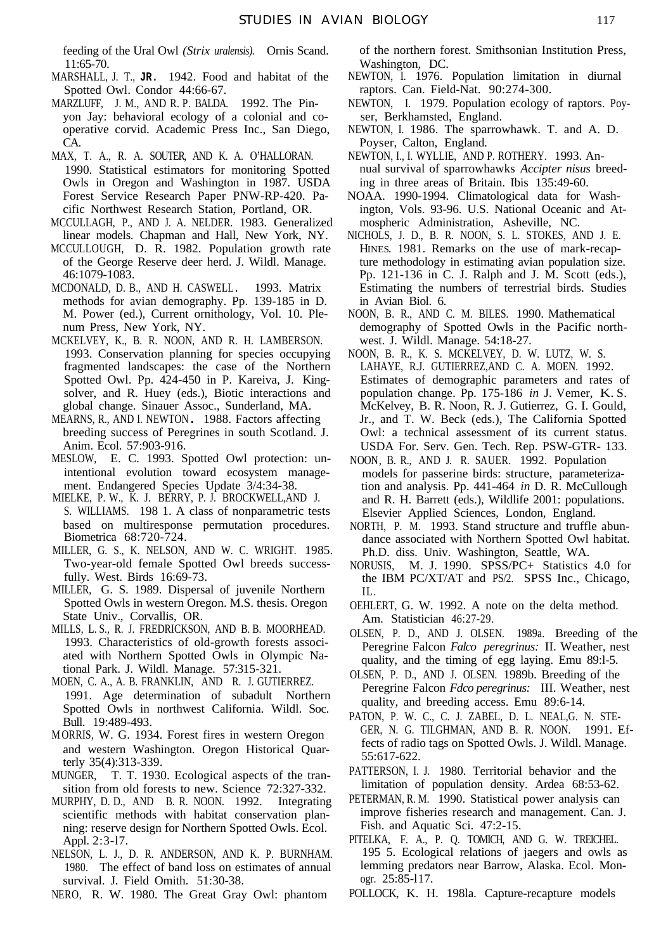feeding of the Ural Owl *(Strix uralensis).* Ornis Scand. 11:65-70.

- MARSHALL, J. T., **JR.** 1942. Food and habitat of the Spotted Owl. Condor 44:66-67.
- MARZLUFF, J. M., AND R. P. BALDA. 1992. The Pinyon Jay: behavioral ecology of a colonial and cooperative corvid. Academic Press Inc., San Diego, CA.
- MAX, T. A., R. A. SOUTER, AND K. A. O'HALLORAN. 1990. Statistical estimators for monitoring Spotted Owls in Oregon and Washington in 1987. USDA Forest Service Research Paper PNW-RP-420. Pacific Northwest Research Station, Portland, OR.
- MCCULLAGH, P., AND J. A. NELDER. 1983. Generalized linear models. Chapman and Hall, New York, NY.
- MCCULLOUGH, D. R. 1982. Population growth rate of the George Reserve deer herd. J. Wildl. Manage. 46:1079-1083.
- MCDONALD, D. B., AND H. CASWELL**.** 1993. Matrix methods for avian demography. Pp. 139-185 in D. M. Power (ed.), Current ornithology, Vol. 10. Plenum Press, New York, NY.
- MCKELVEY, K., B. R. NOON, AND R. H. LAMBERSON. 1993. Conservation planning for species occupying fragmented landscapes: the case of the Northern Spotted Owl. Pp. 424-450 in P. Kareiva, J. Kingsolver, and R. Huey (eds.), Biotic interactions and global change. Sinauer Assoc., Sunderland, MA.
- MEARNS, R., AND I. NEWTON**.** 1988. Factors affecting breeding success of Peregrines in south Scotland. J. Anim. Ecol. 57:903-916.
- MESLOW, E. C. 1993. Spotted Owl protection: unintentional evolution toward ecosystem management. Endangered Species Update 3/4:34-38.
- MIELKE, P. W., K. J. BERRY, P. J. BROCKWELL,AND J. S. WILLIAMS. 198 1. A class of nonparametric tests based on multiresponse permutation procedures. Biometrica 68:720-724.
- MILLER, G. S., K. NELSON, AND W. C. WRIGHT. 1985. Two-year-old female Spotted Owl breeds successfully. West. Birds 16:69-73.
- MILLER, G. S. 1989. Dispersal of juvenile Northern Spotted Owls in western Oregon. M.S. thesis. Oregon State Univ., Corvallis, OR.
- MILLS, L. S., R. J. FREDRICKSON, AND B. B. MOORHEAD. 1993. Characteristics of old-growth forests associated with Northern Spotted Owls in Olympic National Park. J. Wildl. Manage. 57:315-321.
- MOEN, C. A., A. B. FRANKLIN, AND R. J. GUTIERREZ. 1991. Age determination of subadult Northern Spotted Owls in northwest California. Wildl. Soc. Bull. 19:489-493.
- MORRIS, W. G. 1934. Forest fires in western Oregon and western Washington. Oregon Historical Quarterly 35(4):313-339.
- MUNGER, T. T. 1930. Ecological aspects of the transition from old forests to new. Science 72:327-332.
- MURPHY, D. D., AND B. R. NOON. 1992. Integrating scientific methods with habitat conservation planning: reserve design for Northern Spotted Owls. Ecol. Appl. 2:3-l7.
- NELSON, L. J., D. R. ANDERSON, AND K. P. BURNHAM. 1980. The effect of band loss on estimates of annual survival. J. Field Omith. 51:30-38.
- NERO, R. W. 1980. The Great Gray Owl: phantom

of the northern forest. Smithsonian Institution Press, Washington, DC.

- NEWTON, I. 1976. Population limitation in diurnal raptors. Can. Field-Nat. 90:274-300.
- NEWTON, I. 1979. Population ecology of raptors. Poyser, Berkhamsted, England.
- NEWTON, I. 1986. The sparrowhawk. T. and A. D. Poyser, Calton, England.
- NEWTON, I., I. WYLLIE, AND P. ROTHERY. 1993. Annual survival of sparrowhawks *Accipter nisus* breeding in three areas of Britain. Ibis 135:49-60.
- NOAA. 1990-1994. Climatological data for Washington, Vols. 93-96. U.S. National Oceanic and Atmospheric Administration, Asheville, NC.
- NICHOLS, J. D., B. R. NOON, S. L. STOKES, AND J. E. HINES. 1981. Remarks on the use of mark-recapture methodology in estimating avian population size. Pp. 121-136 in C. J. Ralph and J. M. Scott (eds.), Estimating the numbers of terrestrial birds. Studies in Avian Biol. 6.
- NOON, B. R., AND C. M. BILES. 1990. Mathematical demography of Spotted Owls in the Pacific northwest. J. Wildl. Manage. 54:18-27.
- NOON, B. R., K. S. MCKELVEY, D. W. LUTZ, W. S. LAHAYE, R.J. GUTIERREZ,AND C. A. MOEN. 1992. Estimates of demographic parameters and rates of population change. Pp. 175-186 *in* J. Vemer, K. S. McKelvey, B. R. Noon, R. J. Gutierrez, G. I. Gould, Jr., and T. W. Beck (eds.), The California Spotted Owl: a technical assessment of its current status. USDA For. Serv. Gen. Tech. Rep. PSW-GTR- 133.
- NOON, B. R., AND J. R. SAUER. 1992. Population models for passerine birds: structure, parameterization and analysis. Pp. 441-464 *in* D. R. McCullough and R. H. Barrett (eds.), Wildlife 2001: populations. Elsevier Applied Sciences, London, England.
- NORTH, P. M. 1993. Stand structure and truffle abundance associated with Northern Spotted Owl habitat. Ph.D. diss. Univ. Washington, Seattle, WA.
- NORUSIS, M. J. 1990. SPSS/PC+ Statistics 4.0 for the IBM PC/XT/AT and PS/2. SPSS Inc., Chicago, IL.
- OEHLERT, G. W. 1992. A note on the delta method. Am. Statistician 46:27-29.
- OLSEN, P. D., AND J. OLSEN. 1989a. Breeding of the Peregrine Falcon *Falco peregrinus:* II. Weather, nest quality, and the timing of egg laying. Emu 89:l-5.
- OLSEN, P. D., AND J. OLSEN. 1989b. Breeding of the Peregrine Falcon *Fdco peregrinus:* III. Weather, nest quality, and breeding access. Emu 89:6-14.
- PATON, P. W. C., C. J. ZABEL, D. L. NEAL,G. N. STE-GER, N. G. TILGHMAN, AND B. R. NOON. 1991. Effects of radio tags on Spotted Owls. J. Wildl. Manage. 55:617-622.
- PATTERSON, I. J. 1980. Territorial behavior and the limitation of population density. Ardea 68:53-62.
- PETERMAN, R. M. 1990. Statistical power analysis can improve fisheries research and management. Can. J. Fish. and Aquatic Sci. 47:2-15.
- PITELKA, F. A., P. Q. TOMICH, AND G. W. TREICHEL. 195 5. Ecological relations of jaegers and owls as lemming predators near Barrow, Alaska. Ecol. Monogr. 25:85-l17.
- POLLOCK, K. H. 198la. Capture-recapture models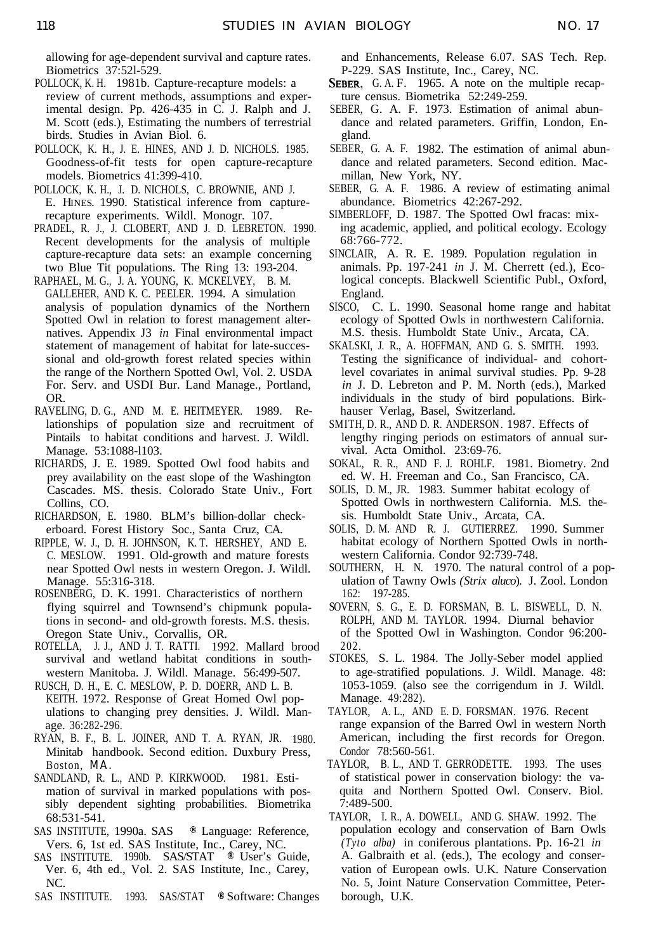- POLLOCK, K. H. 1981b. Capture-recapture models: a review of current methods, assumptions and experimental design. Pp. 426-435 in C. J. Ralph and J. M. Scott (eds.), Estimating the numbers of terrestrial birds. Studies in Avian Biol. 6.
- POLLOCK, K. H., J. E. HINES, AND J. D. NICHOLS. 1985. Goodness-of-fit tests for open capture-recapture models. Biometrics 41:399-410.
- POLLOCK, K. H., J. D. NICHOLS, C. BROWNIE, AND J. E. HINES. 1990. Statistical inference from capturerecapture experiments. Wildl. Monogr. 107.
- PRADEL, R. J., J. CLOBERT, AND J. D. LEBRETON. 1990. Recent developments for the analysis of multiple capture-recapture data sets: an example concerning two Blue Tit populations. The Ring 13: 193-204.
- RAPHAEL, M. G., J. A. YOUNG, K. MCKELVEY, B. M. GALLEHER, AND K. C. PEELER. 1994. A simulation analysis of population dynamics of the Northern Spotted Owl in relation to forest management alternatives. Appendix J3 *in* Final environmental impact statement of management of habitat for late-successional and old-growth forest related species within the range of the Northern Spotted Owl, Vol. 2. USDA For. Serv. and USDI Bur. Land Manage., Portland, OR.
- RAVELING, D. G., AND M. E. HEITMEYER. 1989. Relationships of population size and recruitment of Pintails to habitat conditions and harvest. J. Wildl. Manage. 53:1088-l103.
- RICHARDS, J. E. 1989. Spotted Owl food habits and prey availability on the east slope of the Washington Cascades. MS. thesis. Colorado State Univ., Fort Collins, CO.
- RICHARDSON, E. 1980. BLM's billion-dollar checkerboard. Forest History Soc., Santa Cruz, CA.
- RIPPLE, W. J., D. H. JOHNSON, K. T. HERSHEY, AND E. C. MESLOW. 1991. Old-growth and mature forests near Spotted Owl nests in western Oregon. J. Wildl. Manage. 55:316-318.
- ROSENBERG, D. K. 1991. Characteristics of northern flying squirrel and Townsend's chipmunk populations in second- and old-growth forests. M.S. thesis. Oregon State Univ., Corvallis, OR.
- ROTELLA, J. J., AND J. T. RATTI. 1992. Mallard brood survival and wetland habitat conditions in southwestern Manitoba. J. Wildl. Manage. 56:499-507.
- RUSCH, D. H., E. C. MESLOW, P. D. DOERR, AND L. B. KEITH. 1972. Response of Great Homed Owl populations to changing prey densities. J. Wildl. Manage. 36:282-296.
- RYAN, B. F., B. L. JOINER, AND T. A. RYAN, JR. 1980. Minitab handbook. Second edition. Duxbury Press, Boston, MA.
- SANDLAND, R. L., AND P. KIRKWOOD. 1981. Estimation of survival in marked populations with possibly dependent sighting probabilities. Biometrika 68:531-541.
- SAS INSTITUTE, 1990a. SAS <sup>®</sup> Language: Reference, Vers. 6, 1st ed. SAS Institute, Inc., Carey, NC.
- SAS INSTITUTE. 1990b. SAS/STAT <sup>®</sup> User's Guide, Ver. 6, 4th ed., Vol. 2. SAS Institute, Inc., Carey, NC.
- SAS INSTITUTE. 1993. SAS/STAT @ Software: Changes

and Enhancements, Release 6.07. SAS Tech. Rep. P-229. SAS Institute, Inc., Carey, NC.

- SEBER, G. A. F. 1965. A note on the multiple recapture census. Biometrika 52:249-259.
- SEBER, G. A. F. 1973. Estimation of animal abundance and related parameters. Griffin, London, England.
- SEBER, G. A. F. 1982. The estimation of animal abundance and related parameters. Second edition. Macmillan, New York, NY.
- SEBER, G. A. F. 1986. A review of estimating animal abundance. Biometrics 42:267-292.
- SIMBERLOFF, D. 1987. The Spotted Owl fracas: mixing academic, applied, and political ecology. Ecology 68:766-772.
- SINCLAIR, A. R. E. 1989. Population regulation in animals. Pp. 197-241 *in* J. M. Cherrett (ed.), Ecological concepts. Blackwell Scientific Publ., Oxford, England.
- SISCO, C. L. 1990. Seasonal home range and habitat ecology of Spotted Owls in northwestern California. M.S. thesis. Humboldt State Univ., Arcata, CA.
- SKALSKI, J. R., A. HOFFMAN, AND G. S. SMITH. 1993. Testing the significance of individual- and cohortlevel covariates in animal survival studies. Pp. 9-28 *in* J. D. Lebreton and P. M. North (eds.), Marked individuals in the study of bird populations. Birkhauser Verlag, Basel, Switzerland.
- SMITH, D. R., AND D. R. ANDERSON. 1987. Effects of lengthy ringing periods on estimators of annual survival. Acta Omithol. 23:69-76.
- SOKAL, R. R., AND F. J. ROHLF. 1981. Biometry. 2nd ed. W. H. Freeman and Co., San Francisco, CA.
- SOLIS, D. M., JR. 1983. Summer habitat ecology of Spotted Owls in northwestern California. M.S. thesis. Humboldt State Univ., Arcata, CA.
- SOLIS, D. M. AND R. J. GUTIERREZ. 1990. Summer habitat ecology of Northern Spotted Owls in northwestern California. Condor 92:739-748.
- SOUTHERN, H. N. 1970. The natural control of a population of Tawny Owls *(Strix aluco*). J. Zool. London 162: 197-285.
- SOVERN, S. G., E. D. FORSMAN, B. L. BISWELL, D. N. ROLPH, AND M. TAYLOR. 1994. Diurnal behavior of the Spotted Owl in Washington. Condor 96:200- 202.
- STOKES, S. L. 1984. The Jolly-Seber model applied to age-stratified populations. J. Wildl. Manage. 48: 1053-1059. (also see the corrigendum in J. Wildl. Manage. 49:282).
- TAYLOR, A. L., AND E. D. FORSMAN. 1976. Recent range expansion of the Barred Owl in western North American, including the first records for Oregon. Condor 78:560-561.
- TAYLOR, B. L., AND T. GERRODETTE. 1993. The uses of statistical power in conservation biology: the vaquita and Northern Spotted Owl. Conserv. Biol. 7:489-500.
- TAYLOR, I. R., A. DOWELL, AND G. SHAW. 1992. The population ecology and conservation of Barn Owls *(Tyto alba)* in coniferous plantations. Pp. 16-21 *in* A. Galbraith et al. (eds.), The ecology and conservation of European owls. U.K. Nature Conservation No. 5, Joint Nature Conservation Committee, Peterborough, U.K.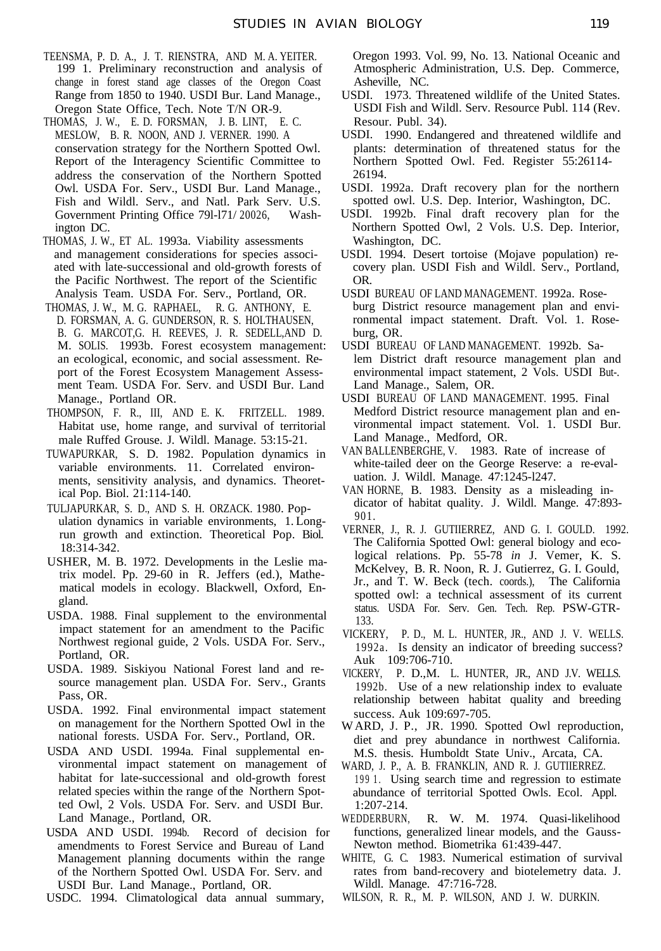- TEENSMA, P. D. A., J. T. RIENSTRA, AND M. A. YEITER. 199 1. Preliminary reconstruction and analysis of change in forest stand age classes of the Oregon Coast Range from 1850 to 1940. USDI Bur. Land Manage., Oregon State Office, Tech. Note T/N OR-9.
- THOMAS, J. W., E. D. FORSMAN, J. B. LINT, E. C. MESLOW, B. R. NOON, AND J. VERNER. 1990. A conservation strategy for the Northern Spotted Owl. Report of the Interagency Scientific Committee to address the conservation of the Northern Spotted Owl. USDA For. Serv., USDI Bur. Land Manage., Fish and Wildl. Serv., and Natl. Park Serv. U.S. Government Printing Office 79l-l71/ 20026, Washington DC.
- THOMAS, J. W., ET AL. 1993a. Viability assessments and management considerations for species associated with late-successional and old-growth forests of the Pacific Northwest. The report of the Scientific Analysis Team. USDA For. Serv., Portland, OR.
- THOMAS, J. W., M. G. RAPHAEL, R. G. ANTHONY, E. D. FORSMAN, A. G. GUNDERSON, R. S. HOLTHAUSEN, B. G. MARCOT,G. H. REEVES, J. R. SEDELL,AND D. M. SOLIS. 1993b. Forest ecosystem management: an ecological, economic, and social assessment. Report of the Forest Ecosystem Management Assessment Team. USDA For. Serv. and USDI Bur. Land Manage., Portland OR.
- THOMPSON, F. R., III, AND E. K. FRITZELL. 1989. Habitat use, home range, and survival of territorial male Ruffed Grouse. J. Wildl. Manage. 53:15-21.
- TUWAPURKAR, S. D. 1982. Population dynamics in variable environments. 11. Correlated environments, sensitivity analysis, and dynamics. Theoretical Pop. Biol. 21:114-140.
- TULJAPURKAR, S. D., AND S. H. ORZACK. 1980. Population dynamics in variable environments, 1. Longrun growth and extinction. Theoretical Pop. Biol. 18:314-342.
- USHER, M. B. 1972. Developments in the Leslie matrix model. Pp. 29-60 in R. Jeffers (ed.), Mathematical models in ecology. Blackwell, Oxford, England.
- USDA. 1988. Final supplement to the environmental impact statement for an amendment to the Pacific Northwest regional guide, 2 Vols. USDA For. Serv., Portland, OR.
- USDA. 1989. Siskiyou National Forest land and resource management plan. USDA For. Serv., Grants Pass, OR.
- USDA. 1992. Final environmental impact statement on management for the Northern Spotted Owl in the national forests. USDA For. Serv., Portland, OR.
- USDA AND USDI. 1994a. Final supplemental environmental impact statement on management of habitat for late-successional and old-growth forest related species within the range of the Northern Spotted Owl, 2 Vols. USDA For. Serv. and USDI Bur. Land Manage., Portland, OR.
- USDA AND USDI. 1994b. Record of decision for amendments to Forest Service and Bureau of Land Management planning documents within the range of the Northern Spotted Owl. USDA For. Serv. and USDI Bur. Land Manage., Portland, OR.

USDC. 1994. Climatological data annual summary,

Oregon 1993. Vol. 99, No. 13. National Oceanic and Atmospheric Administration, U.S. Dep. Commerce, Asheville, NC.

- USDI. 1973. Threatened wildlife of the United States. USDI Fish and Wildl. Serv. Resource Publ. 114 (Rev. Resour. Publ. 34).
- USDI. 1990. Endangered and threatened wildlife and plants: determination of threatened status for the Northern Spotted Owl. Fed. Register 55:26114- 26194.
- USDI. 1992a. Draft recovery plan for the northern spotted owl. U.S. Dep. Interior, Washington, DC.
- USDI. 1992b. Final draft recovery plan for the Northern Spotted Owl, 2 Vols. U.S. Dep. Interior, Washington, DC.
- USDI. 1994. Desert tortoise (Mojave population) recovery plan. USDI Fish and Wildl. Serv., Portland, OR.

USDI BUREAU OF LAND MANAGEMENT. 1992a. Roseburg District resource management plan and environmental impact statement. Draft. Vol. 1. Roseburg, OR.

- USDI BUREAU OF LAND MANAGEMENT. 1992b. Salem District draft resource management plan and environmental impact statement, 2 Vols. USDI But-. Land Manage., Salem, OR.
- USDI BUREAU OF LAND MANAGEMENT. 1995. Final Medford District resource management plan and environmental impact statement. Vol. 1. USDI Bur. Land Manage., Medford, OR.
- VAN BALLENBERGHE, V. 1983. Rate of increase of white-tailed deer on the George Reserve: a re-evaluation. J. Wildl. Manage. 47:1245-l247.
- VAN HORNE, B. 1983. Density as a misleading indicator of habitat quality. J. Wildl. Mange. 47:893- 901.
- VERNER, J., R. J. GUTIIERREZ, AND G. I. GOULD. 1992. The California Spotted Owl: general biology and ecological relations. Pp. 55-78 *in* J. Vemer, K. S. McKelvey, B. R. Noon, R. J. Gutierrez, G. I. Gould, Jr., and T. W. Beck (tech. coords.), The California spotted owl: a technical assessment of its current status. USDA For. Serv. Gen. Tech. Rep. PSW-GTR-133.
- VICKERY, P. D., M. L. HUNTER, JR., AND J. V. WELLS. 1992a. Is density an indicator of breeding success? Auk 109:706-710.
- VICKERY, P. D.,M. L. HUNTER, JR., AND J.V. WELLS. 1992b. Use of a new relationship index to evaluate relationship between habitat quality and breeding success. Auk 109:697-705.
- WARD, J. P., JR. 1990. Spotted Owl reproduction, diet and prey abundance in northwest California. M.S. thesis. Humboldt State Univ., Arcata, CA.
- WARD, J. P., A. B. FRANKLIN, AND R. J. GUTIIERREZ. 199 1. Using search time and regression to estimate abundance of territorial Spotted Owls. Ecol. Appl. 1:207-214.<br>WEDDERBURN.
- R. W. M. 1974. Quasi-likelihood functions, generalized linear models, and the Gauss-Newton method. Biometrika 61:439-447.
- WHITE, G. C. 1983. Numerical estimation of survival rates from band-recovery and biotelemetry data. J. Wildl. Manage. 47:716-728.
- WILSON, R. R., M. P. WILSON, AND J. W. DURKIN.